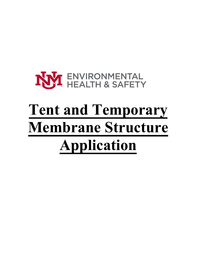# NY ENVIRONMENTAL

## **Tent and Temporary Membrane Structure Application**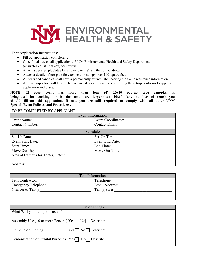

Tent Application Instructions:

- Fill out application completely.
- Once filled out, email application to UNM Environmental Health and Safety Department (ehsweb-L@list.unm.edu) for review.
- Attach a detailed plot/site plan showing tent(s) and the surroundings.
- Attach a detailed floor plan for each tent or canopy over 100 square feet.
- All tents and canopies shall have a permanently affixed label bearing the flame resistance information.
- A Final Inspection will have to be conducted prior to tent use confirming the set-up conforms to approved application and plans.

**NOTE: If your event has more than four (4) 10x10 pop-up type canopies, is being used for cooking, or is the tents are larger than 10x10 (any number of tents) you should fill out this application. If not, you are still required to comply with all other UNM Special Event Policies and Procedures.** 

TO BE COMPLETED BY APPLICANT

| <b>Event Information</b>           |                    |  |
|------------------------------------|--------------------|--|
| Event Name:                        | Event Coordinator: |  |
| Contact Number:                    | Contact Email:     |  |
|                                    |                    |  |
| Schedule                           |                    |  |
| Set-Up Date:                       | Set-Up Time:       |  |
| Event Start Date:                  | Event End Date:    |  |
| <b>Start Time:</b>                 | End Time:          |  |
| Move Out Day:                      | Move Out Time:     |  |
| Area of Campus for Tent(s) Set-up: |                    |  |
|                                    |                    |  |
| Address:                           |                    |  |

| Tent Information            |                |  |
|-----------------------------|----------------|--|
| Tent Contractor:            | Telephone:     |  |
| <b>Emergency Telephone:</b> | Email Address: |  |
| Number of Tent(s)           | Tent(s)Sizes   |  |
|                             |                |  |
|                             |                |  |

| Use of $Tent(s)$                                                  |                              |  |
|-------------------------------------------------------------------|------------------------------|--|
| What Will your tent(s) be used for:                               |                              |  |
|                                                                   |                              |  |
| Assembly Use (10 or more Persons) Yes <sup>n</sup> No   Describe: |                              |  |
| Drinking or Dinning                                               | $Yes \Box No \Box Describe:$ |  |
| Demonstration of Exhibit Purposes Yes <sup>n</sup> No Describe:   |                              |  |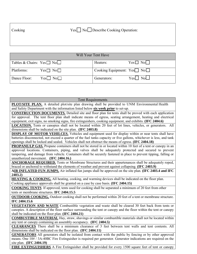| Cooking | Yes□ No□ Describe Cooking Operation: |
|---------|--------------------------------------|
|         |                                      |
|         |                                      |

| Will Your Tent Have                    |                                       |  |
|----------------------------------------|---------------------------------------|--|
| Tables & Chairs: $Yes \Box No \Box$    | $Yes \Box No \Box$<br>Heaters:        |  |
| Platforms:<br>$Yes \Box No \Box$       | Cooking Equipment: $Yes \Box No \Box$ |  |
| Dance Floor:<br>Yes $\mid$ No $\sqcap$ | $Yes \mid No \square$<br>Generators:  |  |

| <b>Tent Requirements</b>                                                                                                                                   |  |
|------------------------------------------------------------------------------------------------------------------------------------------------------------|--|
| PLOT/SITE PLAN. A detailed plot/site plan drawing shall be provided to UNM Environmental Health                                                            |  |
| and Safety Department with the information listed below six week prior to set-up.                                                                          |  |
| <b>CONSTRUCTION DOCUMENTS.</b> Detailed site and floor plan for tents shall be proved with each application                                                |  |
| for approval. The tent floor plan shall indicate means of egress, seating arrangement, heating and electrical                                              |  |
| equipment, exit signs, no smoking signs, fire extinguishers, cooking equipment, and exhibits. (IFC 2404.6)                                                 |  |
| <b>LOCATION.</b> Tents or canopies shall not be located within 20 feet of lot lines, vehicles, or generators. All                                          |  |
| dimensions shall be indicated on the site plan. (IFC 2403.8)                                                                                               |  |
| <b>DISPLAY OF MOTOR VEHILCES.</b> Vehicles and equipment used for display within or near tents shall have                                                  |  |
| batteries disconnected, not exceed a quarter of the fuel tanks capacity or five gallons, whichever is less, and tank                                       |  |
| openings shall be locked and sealed. Vehicles shall not obstruct the means of egress. (IFC 2404.18)                                                        |  |
| <b>PROPANE/LP GAS.</b> Propane containers shall not be stored in or located within 10 feet of a tent or canopy in an                                       |  |
| approved locations. Containers, piping, and valves shall be adequately protected and secured to prevent                                                    |  |
| tampering, and damage from vehicle. Containers shall be securely fastened in place to prevent tipping, falling or<br>unauthorized movement. (IFC 2404.16.) |  |
| <b>ANCHORAGE REQUIRED.</b> Tents or Membrane Structures and their appurtenances shall be adequately roped,                                                 |  |
| braced or anchored to withstand the elements of weather and prevent against collapsing. (IFC 2403.9)                                                       |  |
| AIR INFLATED FUN JUMPS. Air inflated fun jumps shall be approved on the site plan. (IFC 2403.4 and IFC                                                     |  |
| 2403.2)                                                                                                                                                    |  |
| <b>HEATING &amp; COOKING.</b> All heating, cooking, and warming devices shall be indicated on the floor plan.                                              |  |
| Cooking appliance approvals shall be granted on a case by case basis. (IFC 2404.15)                                                                        |  |
| <b>COOKING TENTS</b> . If approved, tents used for cooking shall be separated a minimum of 20 feet from other                                              |  |
| tents or membrane structures. IFC 2404.15.5                                                                                                                |  |
| <b>OUTDOOR COOKING.</b> Outdoor cooking shall not be performed within 20 feet of a tent or membrane structure.                                             |  |
| IFC 2404.15.6                                                                                                                                              |  |
| VEGETATION AND WASTE Combustible vegetation and waste shall be cleared 30 feet back from tents or                                                          |  |
| canopies. A description of the floor surface surrounding the tent or canopy and the floor within the tent or canopy                                        |  |
| shall be indicated on the floor plan. (IFC 2404.21)                                                                                                        |  |
| <b>COMBUSTIBLE MATERIAL</b> Hay, straw, shavings or similar combustible materials shall not be located within                                              |  |
| any tent or canopy containing an assembly occupancy. (IFC 2404.5)                                                                                          |  |
| CLEARANCES There shall be a minimum clearance of 3 feet between tent walls and tent contents. All                                                          |  |
| dimensions shall be indicated on the floor plan. (IFC 2404.11)                                                                                             |  |
| <b>GENERATORS</b> All generators shall be isolated from contact with the public by fencing or by other approved                                            |  |
| means. One 10# / 3A-40BC Fire Extinguisher is required per generator. Generator indications are required on the                                            |  |
| site plan. (IFC 2404.19)                                                                                                                                   |  |
| <b>FIRE EXTINGUISHERS</b> A Fire Extinguisher shall be provided for every 1500 square feet of tent or canopy                                               |  |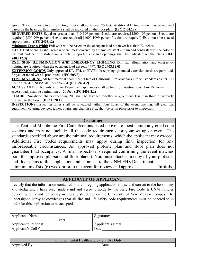space. Travel distance to a Fire Extinguisher shall not exceed 75 feet. Additional Extinguishers may be required based on the hazards. Extinguishers shall be indicated on the floor plan. **(IFC 2404.12)**

**REQUIRED EXITS** Equal or greater than: [10-199 persons 2 exits are required] [200-499 persons 3 exits are required] [500-999 persons 4 exits are required] [1000-1999 person 5 exits are required] Exits must be spaced appropriately. **(IFC 2403.12)**

**Minimum Egress Width** Exit with will be based on the occupant load but never less than 72 inches.

**EXITS** Exit openings shall remain open unless covered by a flame resistant curtain and contrasts with the color of the tent and be free sliding on a metal support. Exits and openings shall be indicated on the plans. **(IFC 2403.12.3)**

**EXIT SIGN ILLUMINATION AND EMERGENCY LIGHTING** Exit sign illumination and emergency lighting are required when the occupant load exceeds \*49\*. **(IFC 2403.12.6)**

**EXTENSION CORDS** Only approved **UL**, **FM**, or **NRTL,** three prong, grounded extension cords are permitted. Frayed or taped wire is prohibited. **(IFC 605.5)**

**TENT MATERIAL** All tent material shall meet "State of California Fire Marshal's Office" standards as per IFC Section 2404.2, NFPA 701, or CPAI-84. **(IFC 2404.2)**

**ACCESS** All Fire Hydrants and Fire Department appliances shall be free from obstructions. Fire Department access roads shall be a minimum or 20 feet. **(IFC 2403.8.1)** 

**CHAIRS.** Non-fixed chairs exceeding 200 shall be fastened together in groups no less than three or securely fastened to the floor. **(IFC 1028.12)**

**INSPECTIONS** Inspection times shall be scheduled within four hours of the event opening. All electrical equipment, catering devices, tables, chairs, merchandise etc., shall be set in place prior to inspection.

#### **Disclaimer**

The Tent and Membrane Fire Code Sections listed above are most commonly cited code sections and may not include all the code requirements for your set-up or event. The standards specified above are the minimal requirements, which the applicant may exceed. Additional Fire Codes requirements may apply during final inspection for any unforeseeable circumstances. An approved plot/site plan and floor plan does not guarantee final occupancy. A final inspection is required confirming the event matches both the approved plot/site and floor plan(s). You must attached a copy of your plot/site, and floor plans to this application and submit it to the UNM EHS Department a minimum of six (6) week prior to the event for review and approval. **Initials** 

#### **AFFIDAVIT OF APPLICANT**

I certify that the information contained in the foregoing application is true and correct to the best of my knowledge and I have read, understand and agree to abide by the State Fire Code & UNM Policies governing tents and temporary membrane structures on the University of New Mexico Campus. The undersigned herby acknowledges that all fire and life safety code requirements must be adhered to in order for this application to be accepted.

| <b>Applicants Name:</b> | Signature:        |
|-------------------------|-------------------|
| Print                   |                   |
| Applicant's Phone $#$   | Applicant's Email |
| Applicant's Cell $#$    | Date:             |

| Only<br>Environmental Health and Safety Use $O$ |  |       |
|-------------------------------------------------|--|-------|
| ⊢Rv∴<br>Approved <i>F</i>                       |  | Date: |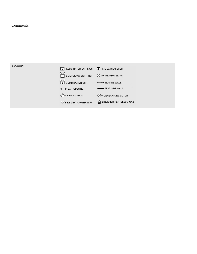### Comments:

#### **LEGEND:**